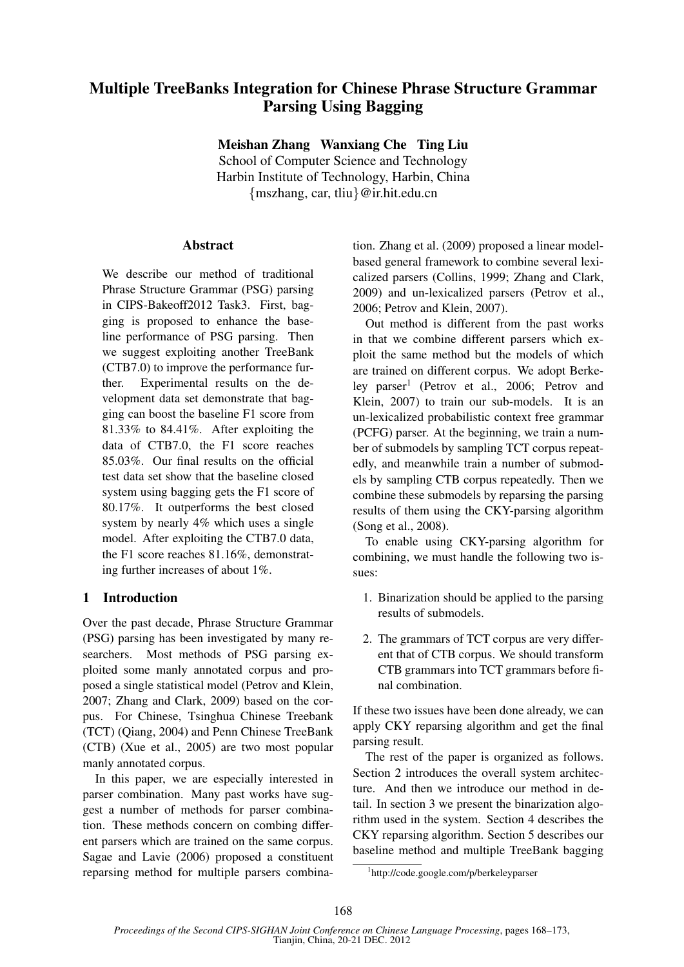# Multiple TreeBanks Integration for Chinese Phrase Structure Grammar Parsing Using Bagging

Meishan Zhang Wanxiang Che Ting Liu

School of Computer Science and Technology Harbin Institute of Technology, Harbin, China {mszhang, car, tliu}@ir.hit.edu.cn

# Abstract

We describe our method of traditional Phrase Structure Grammar (PSG) parsing in CIPS-Bakeoff2012 Task3. First, bagging is proposed to enhance the baseline performance of PSG parsing. Then we suggest exploiting another TreeBank (CTB7.0) to improve the performance further. Experimental results on the development data set demonstrate that bagging can boost the baseline F1 score from 81.33% to 84.41%. After exploiting the data of CTB7.0, the F1 score reaches 85.03%. Our final results on the official test data set show that the baseline closed system using bagging gets the F1 score of 80.17%. It outperforms the best closed system by nearly 4% which uses a single model. After exploiting the CTB7.0 data, the F1 score reaches 81.16%, demonstrating further increases of about 1%.

# 1 Introduction

Over the past decade, Phrase Structure Grammar (PSG) parsing has been investigated by many researchers. Most methods of PSG parsing exploited some manly annotated corpus and proposed a single statistical model (Petrov and Klein, 2007; Zhang and Clark, 2009) based on the corpus. For Chinese, Tsinghua Chinese Treebank (TCT) (Qiang, 2004) and Penn Chinese TreeBank (CTB) (Xue et al., 2005) are two most popular manly annotated corpus.

In this paper, we are especially interested in parser combination. Many past works have suggest a number of methods for parser combination. These methods concern on combing different parsers which are trained on the same corpus. Sagae and Lavie (2006) proposed a constituent reparsing method for multiple parsers combination. Zhang et al. (2009) proposed a linear modelbased general framework to combine several lexicalized parsers (Collins, 1999; Zhang and Clark, 2009) and un-lexicalized parsers (Petrov et al., 2006; Petrov and Klein, 2007).

Out method is different from the past works in that we combine different parsers which exploit the same method but the models of which are trained on different corpus. We adopt Berkeley parser<sup>1</sup> (Petrov et al., 2006; Petrov and Klein, 2007) to train our sub-models. It is an un-lexicalized probabilistic context free grammar (PCFG) parser. At the beginning, we train a number of submodels by sampling TCT corpus repeatedly, and meanwhile train a number of submodels by sampling CTB corpus repeatedly. Then we combine these submodels by reparsing the parsing results of them using the CKY-parsing algorithm (Song et al., 2008).

To enable using CKY-parsing algorithm for combining, we must handle the following two issues:

- 1. Binarization should be applied to the parsing results of submodels.
- 2. The grammars of TCT corpus are very different that of CTB corpus. We should transform CTB grammars into TCT grammars before final combination.

If these two issues have been done already, we can apply CKY reparsing algorithm and get the final parsing result.

The rest of the paper is organized as follows. Section 2 introduces the overall system architecture. And then we introduce our method in detail. In section 3 we present the binarization algorithm used in the system. Section 4 describes the CKY reparsing algorithm. Section 5 describes our baseline method and multiple TreeBank bagging

<sup>1</sup> http://code.google.com/p/berkeleyparser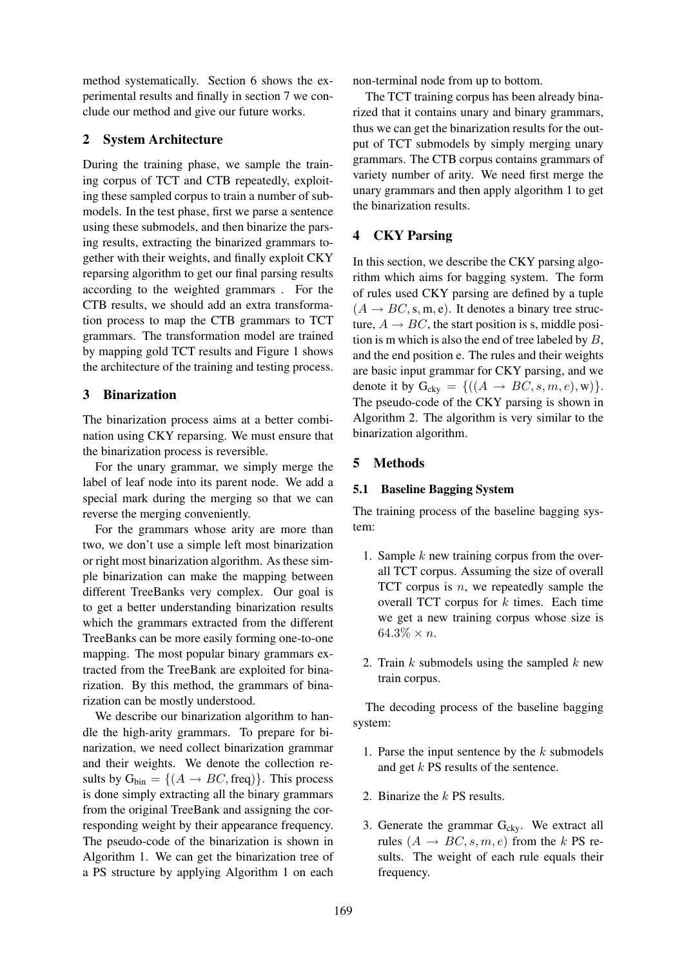method systematically. Section 6 shows the experimental results and finally in section 7 we conclude our method and give our future works.

# 2 System Architecture

During the training phase, we sample the training corpus of TCT and CTB repeatedly, exploiting these sampled corpus to train a number of submodels. In the test phase, first we parse a sentence using these submodels, and then binarize the parsing results, extracting the binarized grammars together with their weights, and finally exploit CKY reparsing algorithm to get our final parsing results according to the weighted grammars . For the CTB results, we should add an extra transformation process to map the CTB grammars to TCT grammars. The transformation model are trained by mapping gold TCT results and Figure 1 shows the architecture of the training and testing process.

# 3 Binarization

The binarization process aims at a better combination using CKY reparsing. We must ensure that the binarization process is reversible.

For the unary grammar, we simply merge the label of leaf node into its parent node. We add a special mark during the merging so that we can reverse the merging conveniently.

For the grammars whose arity are more than two, we don't use a simple left most binarization or right most binarization algorithm. As these simple binarization can make the mapping between different TreeBanks very complex. Our goal is to get a better understanding binarization results which the grammars extracted from the different TreeBanks can be more easily forming one-to-one mapping. The most popular binary grammars extracted from the TreeBank are exploited for binarization. By this method, the grammars of binarization can be mostly understood.

We describe our binarization algorithm to handle the high-arity grammars. To prepare for binarization, we need collect binarization grammar and their weights. We denote the collection results by  $G_{\text{bin}} = \{(A \rightarrow BC, \text{freq})\}$ . This process is done simply extracting all the binary grammars from the original TreeBank and assigning the corresponding weight by their appearance frequency. The pseudo-code of the binarization is shown in Algorithm 1. We can get the binarization tree of a PS structure by applying Algorithm 1 on each non-terminal node from up to bottom.

The TCT training corpus has been already binarized that it contains unary and binary grammars, thus we can get the binarization results for the output of TCT submodels by simply merging unary grammars. The CTB corpus contains grammars of variety number of arity. We need first merge the unary grammars and then apply algorithm 1 to get the binarization results.

# 4 CKY Parsing

In this section, we describe the CKY parsing algorithm which aims for bagging system. The form of rules used CKY parsing are defined by a tuple  $(A \rightarrow BC, s, m, e)$ . It denotes a binary tree structure,  $A \rightarrow BC$ , the start position is s, middle position is m which is also the end of tree labeled by  $B$ , and the end position e. The rules and their weights are basic input grammar for CKY parsing, and we denote it by  $G_{\text{cky}} = \{((A \rightarrow BC, s, m, e), w)\}.$ The pseudo-code of the CKY parsing is shown in Algorithm 2. The algorithm is very similar to the binarization algorithm.

#### 5 Methods

#### 5.1 Baseline Bagging System

The training process of the baseline bagging system:

- 1. Sample  $k$  new training corpus from the overall TCT corpus. Assuming the size of overall TCT corpus is  $n$ , we repeatedly sample the overall TCT corpus for  $k$  times. Each time we get a new training corpus whose size is  $64.3\% \times n$ .
- 2. Train  $k$  submodels using the sampled  $k$  new train corpus.

The decoding process of the baseline bagging system:

- 1. Parse the input sentence by the  $k$  submodels and get k PS results of the sentence.
- 2. Binarize the  $k$  PS results.
- 3. Generate the grammar  $G_{cky}$ . We extract all rules  $(A \rightarrow BC, s, m, e)$  from the k PS results. The weight of each rule equals their frequency.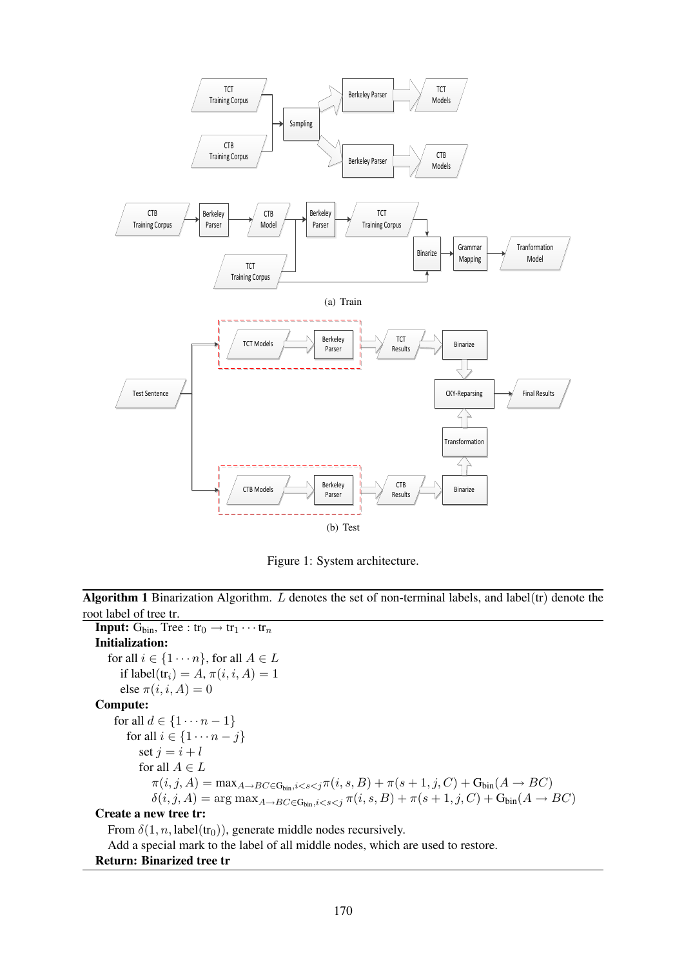

Figure 1: System architecture.

Algorithm 1 Binarization Algorithm.  $L$  denotes the set of non-terminal labels, and label(tr) denote the root label of tree tr.

**Input:**  $G_{\text{bin}}$ , Tree :  $tr_0 \rightarrow tr_1 \cdots tr_n$ Initialization: for all  $i \in \{1 \cdots n\}$ , for all  $A \in L$ if label $(tr_i) = A$ ,  $\pi(i, i, A) = 1$ else  $\pi(i, i, A) = 0$ Compute: for all  $d \in \{1 \cdots n-1\}$ for all  $i \in \{1 \cdots n-j\}$ set  $j = i + l$ for all  $A \in L$  $\pi(i, j, A) = \max_{A \to B} C \in G_{\text{bin},i} \langle s, S \rangle + \pi(s + 1, j, C) + G_{\text{bin}}(A \to BC)$  $\delta(i, j, A) = \arg \max_{A \to BC \in \mathcal{S}_{\text{bin}}, i < s < j} \pi(i, s, B) + \pi(s + 1, j, C) + \mathcal{S}_{\text{bin}}(A \to BC)$ Create a new tree tr: From  $\delta(1, n, \text{label}(\text{tr}_0))$ , generate middle nodes recursively. Add a special mark to the label of all middle nodes, which are used to restore.

# Return: Binarized tree tr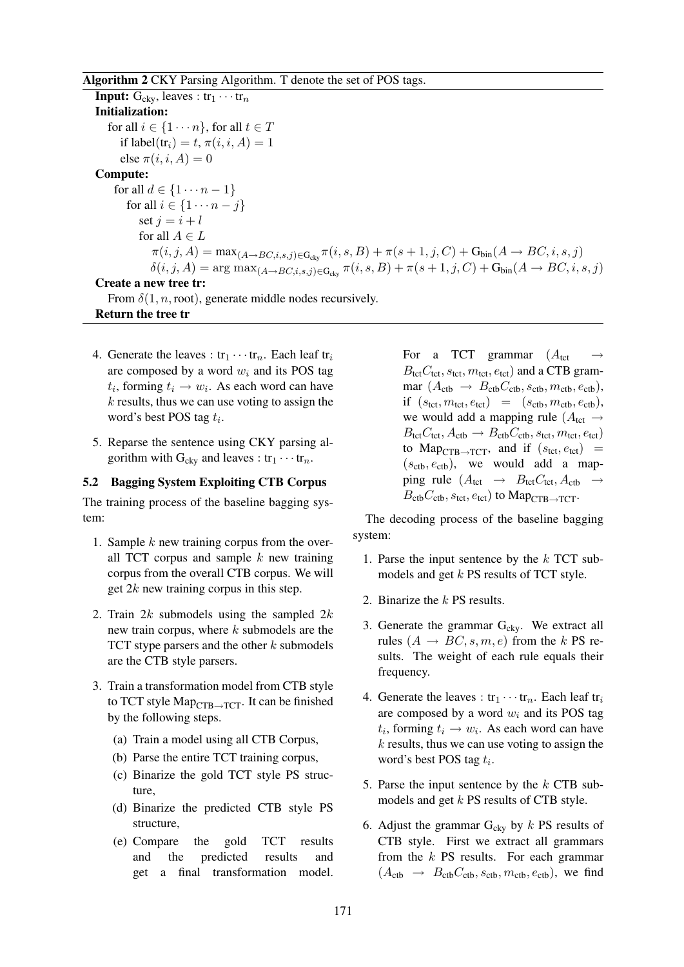#### Algorithm 2 CKY Parsing Algorithm. T denote the set of POS tags.

**Input:**  $G_{ckv}$ , leaves :  $tr_1 \cdots tr_n$ Initialization: for all  $i \in \{1 \cdots n\}$ , for all  $t \in T$ if label $(tr_i) = t$ ,  $\pi(i, i, A) = 1$ else  $\pi(i, i, A) = 0$ Compute: for all  $d \in \{1 \cdots n-1\}$ for all  $i \in \{1 \cdots n - j\}$ set  $i = i + l$ for all  $A \in L$  $\pi(i, j, A) = \max_{(A \rightarrow BC, i, s, j) \in \mathbb{G}_{c(v)}} \pi(i, s, B) + \pi(s + 1, j, C) + \mathbb{G}_{\text{bin}}(A \rightarrow BC, i, s, j)$  $\delta(i, j, A) = \arg \max_{(A \rightarrow BC, i, s, j) \in \mathbb{G}_{\text{ckv}}} \pi(i, s, B) + \pi(s + 1, j, C) + \mathbb{G}_{\text{bin}}(A \rightarrow BC, i, s, j)$ Create a new tree tr:

From  $\delta(1, n, \text{root})$ , generate middle nodes recursively. Return the tree tr

- 4. Generate the leaves :  $\text{tr}_1 \cdots \text{tr}_n$ . Each leaf  $\text{tr}_i$ are composed by a word  $w_i$  and its POS tag  $t_i$ , forming  $t_i \rightarrow w_i$ . As each word can have  $k$  results, thus we can use voting to assign the word's best POS tag  $t_i$ .
- 5. Reparse the sentence using CKY parsing algorithm with  $G_{cky}$  and leaves :  $tr_1 \cdots tr_n$ .

# 5.2 Bagging System Exploiting CTB Corpus

The training process of the baseline bagging system:

- 1. Sample  $k$  new training corpus from the overall TCT corpus and sample  $k$  new training corpus from the overall CTB corpus. We will get  $2k$  new training corpus in this step.
- 2. Train  $2k$  submodels using the sampled  $2k$ new train corpus, where  $k$  submodels are the TCT stype parsers and the other  $k$  submodels are the CTB style parsers.
- 3. Train a transformation model from CTB style to TCT style  $\text{Map}_{\text{CTB}\rightarrow\text{TCT}}$ . It can be finished by the following steps.
	- (a) Train a model using all CTB Corpus,
	- (b) Parse the entire TCT training corpus,
	- (c) Binarize the gold TCT style PS structure,
	- (d) Binarize the predicted CTB style PS structure,
	- (e) Compare the gold TCT results and the predicted results and get a final transformation model.

For a TCT grammar  $(A_{\text{tot}})$  $B_{\text{tct}}C_{\text{tct}}, s_{\text{tct}}, m_{\text{tct}}, e_{\text{tct}}$  and a CTB grammar  $(A_{\text{ctb}} \rightarrow B_{\text{ctb}} C_{\text{ctb}}$ ,  $s_{\text{ctb}}$ ,  $m_{\text{ctb}}$ ,  $e_{\text{ctb}}$ ), if  $(s_{\text{tct}}, m_{\text{tct}}, e_{\text{tct}}) = (s_{\text{ctb}}, m_{\text{ctb}}, e_{\text{ctb}}),$ we would add a mapping rule ( $A_{\text{tot}} \rightarrow$  $B_{\text{tct}}C_{\text{tct}}, A_{\text{ctb}} \rightarrow B_{\text{ctb}}C_{\text{ctb}}, s_{\text{tct}}, m_{\text{tct}}, e_{\text{tct}})$ to Map<sub>CTB→TCT</sub>, and if  $(s_{\text{tot}}, e_{\text{tot}})$  =  $(s_{\text{ctb}}, e_{\text{ctb}})$ , we would add a mapping rule  $(A_{\text{tct}} \rightarrow B_{\text{tct}} C_{\text{tct}}, A_{\text{ctb}} \rightarrow$  $B_{\rm ctb}C_{\rm ctb}$ ,  $s_{\rm tct}$ ,  $e_{\rm tct}$ ) to Map<sub>CTB→TCT</sub>.

The decoding process of the baseline bagging system:

- 1. Parse the input sentence by the  $k$  TCT submodels and get k PS results of TCT style.
- 2. Binarize the k PS results.
- 3. Generate the grammar  $G_{cky}$ . We extract all rules  $(A \rightarrow BC, s, m, e)$  from the k PS results. The weight of each rule equals their frequency.
- 4. Generate the leaves :  $\text{tr}_1 \cdots \text{tr}_n$ . Each leaf  $\text{tr}_i$ are composed by a word  $w_i$  and its POS tag  $t_i$ , forming  $t_i \rightarrow w_i$ . As each word can have  $k$  results, thus we can use voting to assign the word's best POS tag  $t_i$ .
- 5. Parse the input sentence by the  $k$  CTB submodels and get  $k$  PS results of CTB style.
- 6. Adjust the grammar  $G_{cky}$  by k PS results of CTB style. First we extract all grammars from the k PS results. For each grammar  $(A_{\rm ctb} \rightarrow B_{\rm ctb}C_{\rm ctb}, s_{\rm ctb}, m_{\rm ctb}, e_{\rm ctb})$ , we find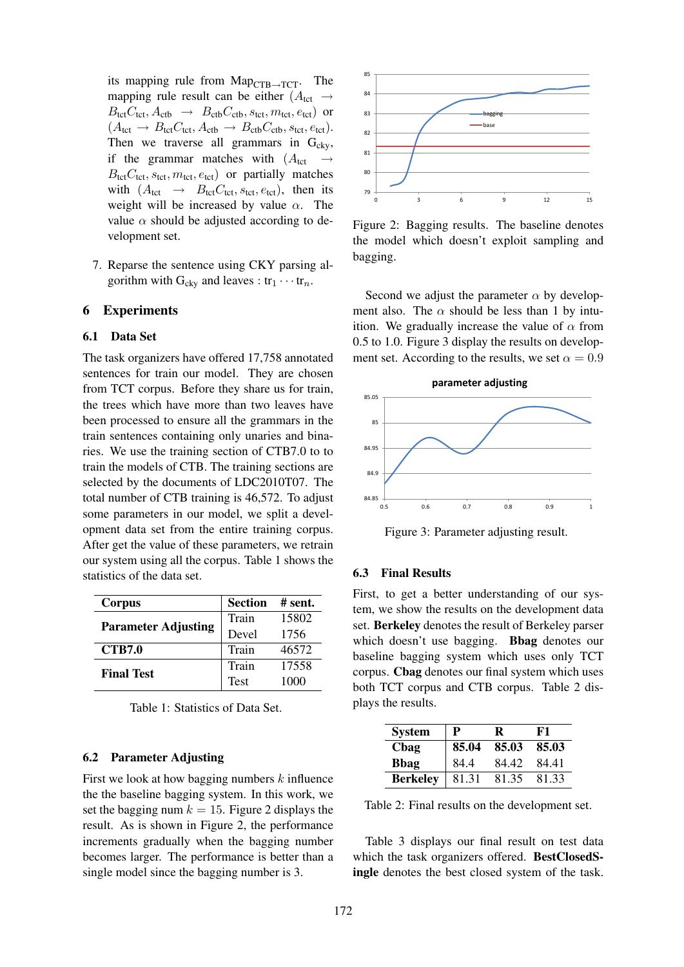its mapping rule from  $\text{Map}_{\text{CTB}\rightarrow\text{TCT}}$ . The mapping rule result can be either  $(A_{\text{tot}} \rightarrow$  $B_{\text{tct}}C_{\text{tct}}, A_{\text{ctb}} \rightarrow B_{\text{ctb}}C_{\text{ctb}}, s_{\text{tct}}, m_{\text{tct}}, e_{\text{tct}})$  or  $(A_{\text{tct}} \rightarrow B_{\text{tct}} C_{\text{tct}}, A_{\text{ctb}} \rightarrow B_{\text{ctb}} C_{\text{ctb}}, s_{\text{tct}}, e_{\text{tct}}).$ Then we traverse all grammars in  $G_{cky}$ , if the grammar matches with  $(A_{\text{tot}} \rightarrow$  $B_{\text{tct}}C_{\text{tct}}, s_{\text{tct}}, m_{\text{tct}}, e_{\text{tct}}$  or partially matches with  $(A_{\text{tct}} \rightarrow B_{\text{tct}} C_{\text{tct}}, s_{\text{tct}}, e_{\text{tct}})$ , then its weight will be increased by value  $\alpha$ . The value  $\alpha$  should be adjusted according to development set.

7. Reparse the sentence using CKY parsing algorithm with  $G_{\text{cky}}$  and leaves :  $tr_1 \cdots tr_n$ .

#### 6 Experiments

#### 6.1 Data Set

The task organizers have offered 17,758 annotated sentences for train our model. They are chosen from TCT corpus. Before they share us for train, the trees which have more than two leaves have been processed to ensure all the grammars in the train sentences containing only unaries and binaries. We use the training section of CTB7.0 to to train the models of CTB. The training sections are selected by the documents of LDC2010T07. The total number of CTB training is 46,572. To adjust some parameters in our model, we split a development data set from the entire training corpus. After get the value of these parameters, we retrain our system using all the corpus. Table 1 shows the statistics of the data set.

| Corpus                     | <b>Section</b> | # sent. |
|----------------------------|----------------|---------|
| <b>Parameter Adjusting</b> | Train          | 15802   |
|                            | Devel          | 1756    |
| <b>CTB7.0</b>              | Train          | 46572   |
| <b>Final Test</b>          | Train          | 17558   |
|                            | Test           | 1000    |

Table 1: Statistics of Data Set.

#### 6.2 Parameter Adjusting

First we look at how bagging numbers  $k$  influence the the baseline bagging system. In this work, we set the bagging num  $k = 15$ . Figure 2 displays the result. As is shown in Figure 2, the performance increments gradually when the bagging number becomes larger. The performance is better than a single model since the bagging number is 3.



Figure 2: Bagging results. The baseline denotes the model which doesn't exploit sampling and bagging.

Second we adjust the parameter  $\alpha$  by development also. The  $\alpha$  should be less than 1 by intuition. We gradually increase the value of  $\alpha$  from 0.5 to 1.0. Figure 3 display the results on development set. According to the results, we set  $\alpha = 0.9$ 



Figure 3: Parameter adjusting result.

#### 6.3 Final Results

First, to get a better understanding of our system, we show the results on the development data set. Berkeley denotes the result of Berkeley parser which doesn't use bagging. **Bbag** denotes our baseline bagging system which uses only TCT corpus. Cbag denotes our final system which uses both TCT corpus and CTB corpus. Table 2 displays the results.

| <b>System</b>   | P     | R     | F1    |
|-----------------|-------|-------|-------|
| Chag            | 85.04 | 85.03 | 85.03 |
| <b>B</b> bag    | 84.4  | 84.42 | 84.41 |
| <b>Berkeley</b> | 81.31 | 81.35 | 81.33 |

Table 2: Final results on the development set.

Table 3 displays our final result on test data which the task organizers offered. BestClosedSingle denotes the best closed system of the task.